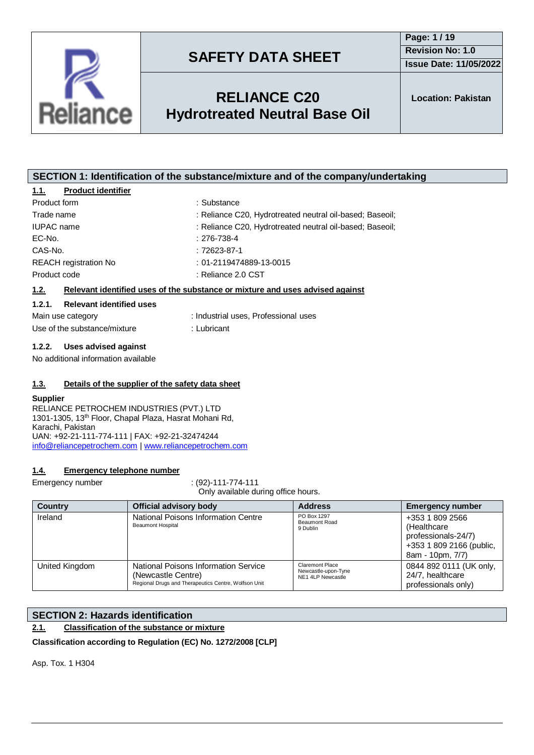

## **RELIANCE C20 Hydrotreated Neutral Base Oil**

**SECTION 1: Identification of the substance/mixture and of the company/undertaking**

| <b>Product identifier</b><br>1.1.                                           |                                                                               |  |  |  |  |
|-----------------------------------------------------------------------------|-------------------------------------------------------------------------------|--|--|--|--|
| Product form                                                                | : Substance                                                                   |  |  |  |  |
| Trade name                                                                  | : Reliance C20, Hydrotreated neutral oil-based; Baseoil;                      |  |  |  |  |
| <b>IUPAC</b> name                                                           | : Reliance C20, Hydrotreated neutral oil-based; Baseoil;                      |  |  |  |  |
| EC-No.                                                                      | $: 276 - 738 - 4$                                                             |  |  |  |  |
| CAS-No.                                                                     | $:72623-87-1$                                                                 |  |  |  |  |
| <b>REACH</b> registration No                                                | $: 01 - 2119474889 - 13 - 0015$                                               |  |  |  |  |
| Product code                                                                | : Reliance 2.0 CST                                                            |  |  |  |  |
| 1.2.                                                                        | Relevant identified uses of the substance or mixture and uses advised against |  |  |  |  |
| 1.2.1.<br><b>Relevant identified uses</b>                                   |                                                                               |  |  |  |  |
| Main use category                                                           | : Industrial uses, Professional uses                                          |  |  |  |  |
| Use of the substance/mixture                                                | : Lubricant                                                                   |  |  |  |  |
| 1.2.2.<br>Uses advised against                                              |                                                                               |  |  |  |  |
| No additional information available                                         |                                                                               |  |  |  |  |
|                                                                             |                                                                               |  |  |  |  |
| 1.3.                                                                        | Details of the supplier of the safety data sheet                              |  |  |  |  |
| <b>Supplier</b>                                                             |                                                                               |  |  |  |  |
| RELIANCE PETROCHEM INDUSTRIES (PVT.) LTD                                    |                                                                               |  |  |  |  |
| 1301-1305, 13th Floor, Chapal Plaza, Hasrat Mohani Rd,<br>Karachi, Pakistan |                                                                               |  |  |  |  |
| UAN: +92-21-111-774-111   FAX: +92-21-32474244                              |                                                                               |  |  |  |  |
| info@reliancepetrochem.com   www.reliancepetrochem.com                      |                                                                               |  |  |  |  |
|                                                                             |                                                                               |  |  |  |  |
| 14<br>Emergency telephone number                                            |                                                                               |  |  |  |  |

### **1.4. Emergency telephone number**

Reliance

Emergency number : (92)-111-774-111 Only available during office hours.

| <b>Country</b> | <b>Official advisory body</b>                                                                                      | <b>Address</b>                                              | <b>Emergency number</b>                                                                               |
|----------------|--------------------------------------------------------------------------------------------------------------------|-------------------------------------------------------------|-------------------------------------------------------------------------------------------------------|
| Ireland        | National Poisons Information Centre<br><b>Beaumont Hospital</b>                                                    | PO Box 1297<br>Beaumont Road<br>9 Dublin                    | +353 1 809 2566<br>(Healthcare<br>professionals-24/7)<br>+353 1 809 2166 (public,<br>8am - 10pm, 7/7) |
| United Kingdom | National Poisons Information Service<br>(Newcastle Centre)<br>Regional Drugs and Therapeutics Centre, Wolfson Unit | Claremont Place<br>Newcastle-upon-Tyne<br>NE1 4LP Newcastle | 0844 892 0111 (UK only,<br>24/7, healthcare<br>professionals only)                                    |

### **SECTION 2: Hazards identification**

**2.1. Classification of the substance or mixture**

**Classification according to Regulation (EC) No. 1272/2008 [CLP]**

Asp. Tox. 1 H304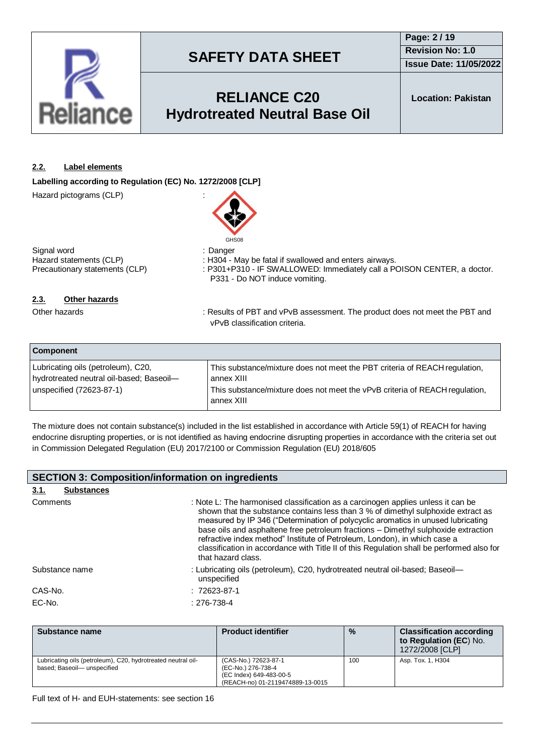

## **RELIANCE C20 Hydrotreated Neutral Base Oil**

**Location: Pakistan**

### **2.2. Label elements**

**Labelling according to Regulation (EC) No. 1272/2008 [CLP]**

Hazard pictograms (CLP) :



Signal word<br>
Hazard statements (CLP) (CLP) : H304 - I

Hazard statements (CLP) : H304 - May be fatal if swallowed and enters airways.<br>Precautionary statements (CLP) : P301+P310 - IF SWALLOWED: Immediately call a P : P301+P310 - IF SWALLOWED: Immediately call a POISON CENTER, a doctor. P331 - Do NOT induce vomiting.

### **2.3. Other hazards**

Other hazards **in the product of PET and vPvB** assessment. The product does not meet the PBT and vPvB classification criteria.

| <b>Component</b>                                                               |                                                                                           |
|--------------------------------------------------------------------------------|-------------------------------------------------------------------------------------------|
| Lubricating oils (petroleum), C20,<br>hydrotreated neutral oil-based; Baseoil- | This substance/mixture does not meet the PBT criteria of REACH regulation,<br>annex XIII  |
| unspecified (72623-87-1)                                                       | This substance/mixture does not meet the vPvB criteria of REACH regulation,<br>annex XIII |

The mixture does not contain substance(s) included in the list established in accordance with Article 59(1) of REACH for having endocrine disrupting properties, or is not identified as having endocrine disrupting properties in accordance with the criteria set out in Commission Delegated Regulation (EU) 2017/2100 or Commission Regulation (EU) 2018/605

| <b>SECTION 3: Composition/information on ingredients</b> |                                                                                                                                                                                                                                                                                                                                                                                                                                                                                                                                                 |  |  |  |  |
|----------------------------------------------------------|-------------------------------------------------------------------------------------------------------------------------------------------------------------------------------------------------------------------------------------------------------------------------------------------------------------------------------------------------------------------------------------------------------------------------------------------------------------------------------------------------------------------------------------------------|--|--|--|--|
| <b>Substances</b><br>3.1.                                |                                                                                                                                                                                                                                                                                                                                                                                                                                                                                                                                                 |  |  |  |  |
| Comments                                                 | : Note L: The harmonised classification as a carcinogen applies unless it can be<br>shown that the substance contains less than 3 % of dimethyl sulphoxide extract as<br>measured by IP 346 ("Determination of polycyclic aromatics in unused lubricating<br>base oils and asphaltene free petroleum fractions - Dimethyl sulphoxide extraction<br>refractive index method" Institute of Petroleum, London), in which case a<br>classification in accordance with Title II of this Regulation shall be performed also for<br>that hazard class. |  |  |  |  |
| Substance name                                           | : Lubricating oils (petroleum), C20, hydrotreated neutral oil-based; Baseoil-<br>unspecified                                                                                                                                                                                                                                                                                                                                                                                                                                                    |  |  |  |  |
| CAS-No.                                                  | $: 72623 - 87 - 1$                                                                                                                                                                                                                                                                                                                                                                                                                                                                                                                              |  |  |  |  |
| EC-No.                                                   | $: 276 - 738 - 4$                                                                                                                                                                                                                                                                                                                                                                                                                                                                                                                               |  |  |  |  |

| Substance name                                                                             | <b>Product identifier</b>                                                                                 | $\frac{0}{0}$ | <b>Classification according</b><br>to Regulation (EC) No.<br>1272/2008 [CLP] |
|--------------------------------------------------------------------------------------------|-----------------------------------------------------------------------------------------------------------|---------------|------------------------------------------------------------------------------|
| Lubricating oils (petroleum), C20, hydrotreated neutral oil-<br>based; Baseoil-unspecified | (CAS-No.) 72623-87-1<br>(EC-No.) 276-738-4<br>(EC Index) 649-483-00-5<br>(REACH-no) 01-2119474889-13-0015 | 100           | Asp. Tox. 1, H304                                                            |

Full text of H- and EUH-statements: see section 16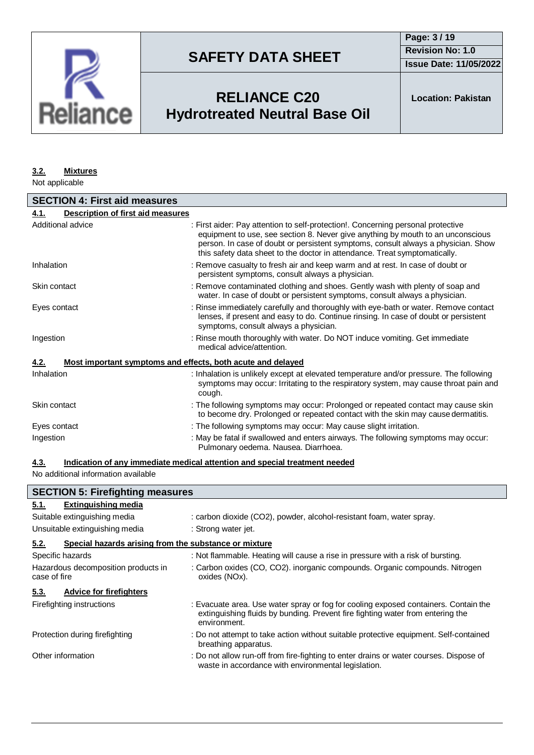

**Issue Date: 11/05/2022**

## **RELIANCE C20 Hydrotreated Neutral Base Oil**

**Location: Pakistan**

#### **3.2. Mixtures**

Not applicable

| <b>SECTION 4: First aid measures</b>                                |                                                                                                                                                                                                                                                                                                                                        |  |  |  |  |  |
|---------------------------------------------------------------------|----------------------------------------------------------------------------------------------------------------------------------------------------------------------------------------------------------------------------------------------------------------------------------------------------------------------------------------|--|--|--|--|--|
| <b>Description of first aid measures</b><br>4.1.                    |                                                                                                                                                                                                                                                                                                                                        |  |  |  |  |  |
| Additional advice                                                   | : First aider: Pay attention to self-protection!. Concerning personal protective<br>equipment to use, see section 8. Never give anything by mouth to an unconscious<br>person. In case of doubt or persistent symptoms, consult always a physician. Show<br>this safety data sheet to the doctor in attendance. Treat symptomatically. |  |  |  |  |  |
| Inhalation                                                          | : Remove casualty to fresh air and keep warm and at rest. In case of doubt or<br>persistent symptoms, consult always a physician.                                                                                                                                                                                                      |  |  |  |  |  |
| Skin contact                                                        | : Remove contaminated clothing and shoes. Gently wash with plenty of soap and<br>water. In case of doubt or persistent symptoms, consult always a physician.                                                                                                                                                                           |  |  |  |  |  |
| Eyes contact                                                        | : Rinse immediately carefully and thoroughly with eye-bath or water. Remove contact<br>lenses, if present and easy to do. Continue rinsing. In case of doubt or persistent<br>symptoms, consult always a physician.                                                                                                                    |  |  |  |  |  |
| Ingestion                                                           | : Rinse mouth thoroughly with water. Do NOT induce vomiting. Get immediate<br>medical advice/attention.                                                                                                                                                                                                                                |  |  |  |  |  |
| 4.2.<br>Most important symptoms and effects, both acute and delayed |                                                                                                                                                                                                                                                                                                                                        |  |  |  |  |  |
| Inhalation                                                          | : Inhalation is unlikely except at elevated temperature and/or pressure. The following<br>symptoms may occur: Irritating to the respiratory system, may cause throat pain and<br>cough.                                                                                                                                                |  |  |  |  |  |
| Skin contact                                                        | : The following symptoms may occur: Prolonged or repeated contact may cause skin<br>to become dry. Prolonged or repeated contact with the skin may cause dermatitis.                                                                                                                                                                   |  |  |  |  |  |
| Eyes contact                                                        | : The following symptoms may occur: May cause slight irritation.                                                                                                                                                                                                                                                                       |  |  |  |  |  |
| Ingestion                                                           | : May be fatal if swallowed and enters airways. The following symptoms may occur:<br>Pulmonary oedema. Nausea. Diarrhoea.                                                                                                                                                                                                              |  |  |  |  |  |

### **4.3. Indication of any immediate medical attention and special treatment needed**

No additional information available

| <b>SECTION 5: Firefighting measures</b>                       |                                                                                                                                                                                       |  |  |  |  |  |  |
|---------------------------------------------------------------|---------------------------------------------------------------------------------------------------------------------------------------------------------------------------------------|--|--|--|--|--|--|
| <b>Extinguishing media</b><br>5.1.                            |                                                                                                                                                                                       |  |  |  |  |  |  |
| Suitable extinguishing media                                  | : carbon dioxide (CO2), powder, alcohol-resistant foam, water spray.                                                                                                                  |  |  |  |  |  |  |
| Unsuitable extinguishing media                                | : Strong water jet.                                                                                                                                                                   |  |  |  |  |  |  |
| 5.2.<br>Special hazards arising from the substance or mixture |                                                                                                                                                                                       |  |  |  |  |  |  |
| Specific hazards                                              | : Not flammable. Heating will cause a rise in pressure with a risk of bursting.                                                                                                       |  |  |  |  |  |  |
| Hazardous decomposition products in<br>case of fire           | : Carbon oxides (CO, CO2). inorganic compounds. Organic compounds. Nitrogen<br>oxides (NOx).                                                                                          |  |  |  |  |  |  |
| <b>Advice for firefighters</b><br>5.3.                        |                                                                                                                                                                                       |  |  |  |  |  |  |
| Firefighting instructions                                     | : Evacuate area. Use water spray or fog for cooling exposed containers. Contain the<br>extinguishing fluids by bunding. Prevent fire fighting water from entering the<br>environment. |  |  |  |  |  |  |
| Protection during firefighting                                | : Do not attempt to take action without suitable protective equipment. Self-contained<br>breathing apparatus.                                                                         |  |  |  |  |  |  |
| Other information                                             | : Do not allow run-off from fire-fighting to enter drains or water courses. Dispose of<br>waste in accordance with environmental legislation.                                         |  |  |  |  |  |  |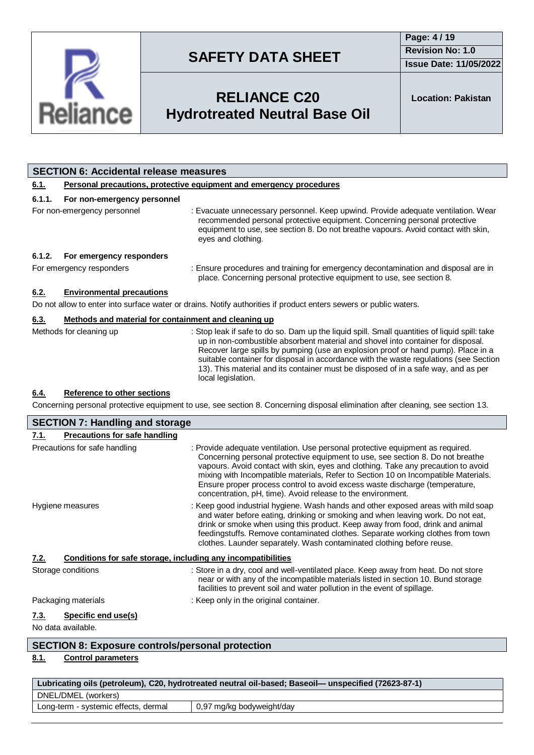

**Issue Date: 11/05/2022**

## **RELIANCE C20 Hydrotreated Neutral Base Oil**

**Location: Pakistan**

|                                                                                                                                 | <b>SECTION 6: Accidental release measures</b>                       |                                                                                                                                                                                                                                                                                                                                                                                                                                                                             |  |  |  |  |  |
|---------------------------------------------------------------------------------------------------------------------------------|---------------------------------------------------------------------|-----------------------------------------------------------------------------------------------------------------------------------------------------------------------------------------------------------------------------------------------------------------------------------------------------------------------------------------------------------------------------------------------------------------------------------------------------------------------------|--|--|--|--|--|
| 6.1.                                                                                                                            | Personal precautions, protective equipment and emergency procedures |                                                                                                                                                                                                                                                                                                                                                                                                                                                                             |  |  |  |  |  |
| 6.1.1.                                                                                                                          | For non-emergency personnel                                         |                                                                                                                                                                                                                                                                                                                                                                                                                                                                             |  |  |  |  |  |
| For non-emergency personnel                                                                                                     |                                                                     | : Evacuate unnecessary personnel. Keep upwind. Provide adequate ventilation. Wear<br>recommended personal protective equipment. Concerning personal protective<br>equipment to use, see section 8. Do not breathe vapours. Avoid contact with skin,<br>eyes and clothing.                                                                                                                                                                                                   |  |  |  |  |  |
| 6.1.2.                                                                                                                          | For emergency responders                                            |                                                                                                                                                                                                                                                                                                                                                                                                                                                                             |  |  |  |  |  |
| For emergency responders                                                                                                        |                                                                     | : Ensure procedures and training for emergency decontamination and disposal are in<br>place. Concerning personal protective equipment to use, see section 8.                                                                                                                                                                                                                                                                                                                |  |  |  |  |  |
| 6.2.                                                                                                                            | <b>Environmental precautions</b>                                    |                                                                                                                                                                                                                                                                                                                                                                                                                                                                             |  |  |  |  |  |
|                                                                                                                                 |                                                                     | Do not allow to enter into surface water or drains. Notify authorities if product enters sewers or public waters.                                                                                                                                                                                                                                                                                                                                                           |  |  |  |  |  |
| 6.3.                                                                                                                            | Methods and material for containment and cleaning up                |                                                                                                                                                                                                                                                                                                                                                                                                                                                                             |  |  |  |  |  |
|                                                                                                                                 | Methods for cleaning up                                             | : Stop leak if safe to do so. Dam up the liquid spill. Small quantities of liquid spill: take<br>up in non-combustible absorbent material and shovel into container for disposal.<br>Recover large spills by pumping (use an explosion proof or hand pump). Place in a<br>suitable container for disposal in accordance with the waste regulations (see Section<br>13). This material and its container must be disposed of in a safe way, and as per<br>local legislation. |  |  |  |  |  |
| 6.4.                                                                                                                            | Reference to other sections                                         |                                                                                                                                                                                                                                                                                                                                                                                                                                                                             |  |  |  |  |  |
| Concerning personal protective equipment to use, see section 8. Concerning disposal elimination after cleaning, see section 13. |                                                                     |                                                                                                                                                                                                                                                                                                                                                                                                                                                                             |  |  |  |  |  |
|                                                                                                                                 | <b>SECTION 7: Handling and storage</b>                              |                                                                                                                                                                                                                                                                                                                                                                                                                                                                             |  |  |  |  |  |

| <b>SECTION 7: Handling and storage</b>                               |                                                                                                                                                                                                                                                                                                                                                                                                                                                                                           |  |  |  |  |  |
|----------------------------------------------------------------------|-------------------------------------------------------------------------------------------------------------------------------------------------------------------------------------------------------------------------------------------------------------------------------------------------------------------------------------------------------------------------------------------------------------------------------------------------------------------------------------------|--|--|--|--|--|
| Precautions for safe handling<br>7.1.                                |                                                                                                                                                                                                                                                                                                                                                                                                                                                                                           |  |  |  |  |  |
| Precautions for safe handling                                        | : Provide adequate ventilation. Use personal protective equipment as required.<br>Concerning personal protective equipment to use, see section 8. Do not breathe<br>vapours. Avoid contact with skin, eyes and clothing. Take any precaution to avoid<br>mixing with Incompatible materials, Refer to Section 10 on Incompatible Materials.<br>Ensure proper process control to avoid excess waste discharge (temperature,<br>concentration, pH, time). Avoid release to the environment. |  |  |  |  |  |
| Hygiene measures                                                     | : Keep good industrial hygiene. Wash hands and other exposed areas with mild soap<br>and water before eating, drinking or smoking and when leaving work. Do not eat,<br>drink or smoke when using this product. Keep away from food, drink and animal<br>feedingstuffs. Remove contaminated clothes. Separate working clothes from town<br>clothes. Launder separately. Wash contaminated clothing before reuse.                                                                          |  |  |  |  |  |
| Conditions for safe storage, including any incompatibilities<br>7.2. |                                                                                                                                                                                                                                                                                                                                                                                                                                                                                           |  |  |  |  |  |
| Storage conditions                                                   | : Store in a dry, cool and well-ventilated place. Keep away from heat. Do not store<br>near or with any of the incompatible materials listed in section 10. Bund storage<br>facilities to prevent soil and water pollution in the event of spillage.                                                                                                                                                                                                                                      |  |  |  |  |  |
| Packaging materials                                                  | : Keep only in the original container.                                                                                                                                                                                                                                                                                                                                                                                                                                                    |  |  |  |  |  |
| Specific end use(s)<br>7.3.<br>No data available.                    |                                                                                                                                                                                                                                                                                                                                                                                                                                                                                           |  |  |  |  |  |
| CECTION 0. Evangung sentrele/nevennel protection                     |                                                                                                                                                                                                                                                                                                                                                                                                                                                                                           |  |  |  |  |  |

### **SECTION 8: Exposure controls/personal protection**

### **8.1. Control parameters**

| Lubricating oils (petroleum), C20, hydrotreated neutral oil-based; Baseoil— unspecified (72623-87-1) |                           |  |  |  |
|------------------------------------------------------------------------------------------------------|---------------------------|--|--|--|
| DNEL/DMEL (workers)                                                                                  |                           |  |  |  |
| Long-term - systemic effects, dermal                                                                 | 0,97 mg/kg bodyweight/day |  |  |  |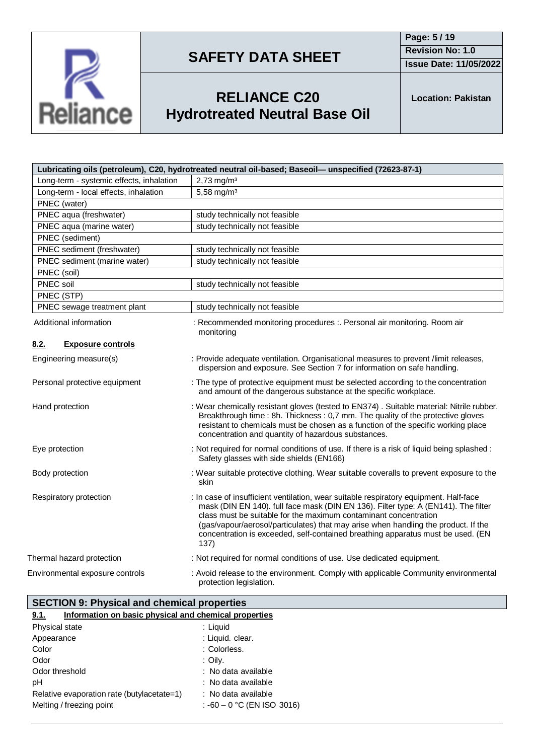

**Page: 5 / 19 Revision No: 1.0**

**Issue Date: 11/05/2022**



# **RELIANCE C20 Hydrotreated Neutral Base Oil**

**Location: Pakistan**

| Lubricating oils (petroleum), C20, hydrotreated neutral oil-based; Baseoil-unspecified (72623-87-1) |                                                                                                                                                                                                                                                                                                                                                                                                                                  |  |  |  |  |  |
|-----------------------------------------------------------------------------------------------------|----------------------------------------------------------------------------------------------------------------------------------------------------------------------------------------------------------------------------------------------------------------------------------------------------------------------------------------------------------------------------------------------------------------------------------|--|--|--|--|--|
| Long-term - systemic effects, inhalation                                                            | $2,73$ mg/m <sup>3</sup>                                                                                                                                                                                                                                                                                                                                                                                                         |  |  |  |  |  |
| Long-term - local effects, inhalation                                                               | 5,58 mg/m <sup>3</sup>                                                                                                                                                                                                                                                                                                                                                                                                           |  |  |  |  |  |
| PNEC (water)                                                                                        |                                                                                                                                                                                                                                                                                                                                                                                                                                  |  |  |  |  |  |
| PNEC aqua (freshwater)                                                                              | study technically not feasible                                                                                                                                                                                                                                                                                                                                                                                                   |  |  |  |  |  |
| PNEC aqua (marine water)                                                                            | study technically not feasible                                                                                                                                                                                                                                                                                                                                                                                                   |  |  |  |  |  |
| PNEC (sediment)                                                                                     |                                                                                                                                                                                                                                                                                                                                                                                                                                  |  |  |  |  |  |
| PNEC sediment (freshwater)                                                                          | study technically not feasible                                                                                                                                                                                                                                                                                                                                                                                                   |  |  |  |  |  |
| PNEC sediment (marine water)                                                                        | study technically not feasible                                                                                                                                                                                                                                                                                                                                                                                                   |  |  |  |  |  |
| PNEC (soil)                                                                                         |                                                                                                                                                                                                                                                                                                                                                                                                                                  |  |  |  |  |  |
| PNEC soil                                                                                           | study technically not feasible                                                                                                                                                                                                                                                                                                                                                                                                   |  |  |  |  |  |
| PNEC (STP)                                                                                          |                                                                                                                                                                                                                                                                                                                                                                                                                                  |  |  |  |  |  |
| PNEC sewage treatment plant                                                                         | study technically not feasible                                                                                                                                                                                                                                                                                                                                                                                                   |  |  |  |  |  |
| Additional information                                                                              | : Recommended monitoring procedures :. Personal air monitoring. Room air<br>monitoring                                                                                                                                                                                                                                                                                                                                           |  |  |  |  |  |
| 8.2.<br><b>Exposure controls</b>                                                                    |                                                                                                                                                                                                                                                                                                                                                                                                                                  |  |  |  |  |  |
| Engineering measure(s)                                                                              | : Provide adequate ventilation. Organisational measures to prevent /limit releases,<br>dispersion and exposure. See Section 7 for information on safe handling.                                                                                                                                                                                                                                                                  |  |  |  |  |  |
| Personal protective equipment                                                                       | : The type of protective equipment must be selected according to the concentration<br>and amount of the dangerous substance at the specific workplace.                                                                                                                                                                                                                                                                           |  |  |  |  |  |
| Hand protection                                                                                     | : Wear chemically resistant gloves (tested to EN374). Suitable material: Nitrile rubber.<br>Breakthrough time : 8h. Thickness : 0,7 mm. The quality of the protective gloves<br>resistant to chemicals must be chosen as a function of the specific working place<br>concentration and quantity of hazardous substances.                                                                                                         |  |  |  |  |  |
| Eye protection                                                                                      | : Not required for normal conditions of use. If there is a risk of liquid being splashed :<br>Safety glasses with side shields (EN166)                                                                                                                                                                                                                                                                                           |  |  |  |  |  |
| Body protection                                                                                     | : Wear suitable protective clothing. Wear suitable coveralls to prevent exposure to the<br>skin                                                                                                                                                                                                                                                                                                                                  |  |  |  |  |  |
| Respiratory protection                                                                              | : In case of insufficient ventilation, wear suitable respiratory equipment. Half-face<br>mask (DIN EN 140). full face mask (DIN EN 136). Filter type: A (EN141). The filter<br>class must be suitable for the maximum contaminant concentration<br>(gas/vapour/aerosol/particulates) that may arise when handling the product. If the<br>concentration is exceeded, self-contained breathing apparatus must be used. (EN<br>137) |  |  |  |  |  |
| Thermal hazard protection                                                                           | : Not required for normal conditions of use. Use dedicated equipment.                                                                                                                                                                                                                                                                                                                                                            |  |  |  |  |  |
| Environmental exposure controls                                                                     | : Avoid release to the environment. Comply with applicable Community environmental<br>protection legislation.                                                                                                                                                                                                                                                                                                                    |  |  |  |  |  |

| <b>SECTION 9: Physical and chemical properties</b> |  |  |  |  |  |
|----------------------------------------------------|--|--|--|--|--|
| .                                                  |  |  |  |  |  |

| Information on basic physical and chemical properties<br>9.1. |  |  |  |
|---------------------------------------------------------------|--|--|--|
| : Liguid                                                      |  |  |  |
| : Liquid. clear.                                              |  |  |  |
| : Colorless.                                                  |  |  |  |
| : Oily.                                                       |  |  |  |
| : No data available                                           |  |  |  |
| : No data available                                           |  |  |  |
| : No data available                                           |  |  |  |
| : $-60 - 0$ °C (EN ISO 3016)                                  |  |  |  |
|                                                               |  |  |  |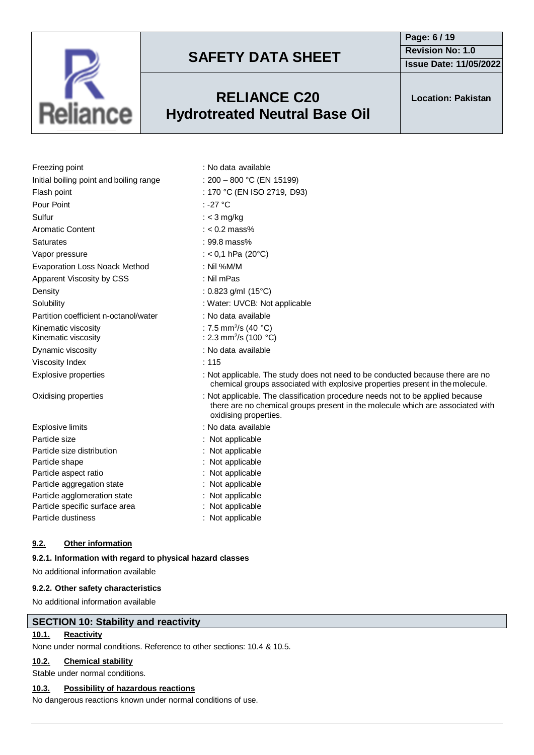

### **RELIANCE C20 Hydrotreated Neutral Base Oil**

**Page: 6 / 19 Revision No: 1.0 Issue Date: 11/05/2022**

**Location: Pakistan**

| Freezing point                          | : No data available                                                                                                                                                                       |
|-----------------------------------------|-------------------------------------------------------------------------------------------------------------------------------------------------------------------------------------------|
| Initial boiling point and boiling range | : $200 - 800$ °C (EN 15199)                                                                                                                                                               |
| Flash point                             | : 170 °C (EN ISO 2719, D93)                                                                                                                                                               |
| Pour Point                              | : -27 $^{\circ}$ C                                                                                                                                                                        |
| Sulfur                                  | : $<$ 3 mg/kg                                                                                                                                                                             |
| Aromatic Content                        | $: < 0.2$ mass%                                                                                                                                                                           |
| Saturates                               | $: 99.8 \text{ mass}$ %                                                                                                                                                                   |
| Vapor pressure                          | : < 0,1 hPa (20 $^{\circ}$ C)                                                                                                                                                             |
| Evaporation Loss Noack Method           | : Nil % $M/M$                                                                                                                                                                             |
| Apparent Viscosity by CSS               | : Nil mPas                                                                                                                                                                                |
| Density                                 | : 0.823 g/ml $(15^{\circ}C)$                                                                                                                                                              |
| Solubility                              | : Water: UVCB: Not applicable                                                                                                                                                             |
| Partition coefficient n-octanol/water   | : No data available                                                                                                                                                                       |
| Kinematic viscosity                     | : 7.5 mm <sup>2</sup> /s (40 $^{\circ}$ C)                                                                                                                                                |
| Kinematic viscosity                     | : 2.3 mm <sup>2</sup> /s (100 $^{\circ}$ C)                                                                                                                                               |
| Dynamic viscosity                       | : No data available                                                                                                                                                                       |
| Viscosity Index                         | : 115                                                                                                                                                                                     |
| <b>Explosive properties</b>             | : Not applicable. The study does not need to be conducted because there are no<br>chemical groups associated with explosive properties present in the molecule.                           |
| Oxidising properties                    | : Not applicable. The classification procedure needs not to be applied because<br>there are no chemical groups present in the molecule which are associated with<br>oxidising properties. |
| Explosive limits                        | : No data available                                                                                                                                                                       |
| Particle size                           | : Not applicable                                                                                                                                                                          |
| Particle size distribution              | Not applicable                                                                                                                                                                            |
| Particle shape                          | : Not applicable                                                                                                                                                                          |
| Particle aspect ratio                   | Not applicable                                                                                                                                                                            |
| Particle aggregation state              | : Not applicable                                                                                                                                                                          |
| Particle agglomeration state            | : Not applicable                                                                                                                                                                          |
| Particle specific surface area          | : Not applicable                                                                                                                                                                          |
| Particle dustiness                      | : Not applicable                                                                                                                                                                          |

### **9.2. Other information**

### **9.2.1. Information with regard to physical hazard classes**

No additional information available

### **9.2.2. Other safety characteristics**

No additional information available

### **SECTION 10: Stability and reactivity**

### **10.1. Reactivity**

None under normal conditions. Reference to other sections: 10.4 & 10.5.

### **10.2. Chemical stability**

Stable under normal conditions.

### **10.3. Possibility of hazardous reactions**

No dangerous reactions known under normal conditions of use.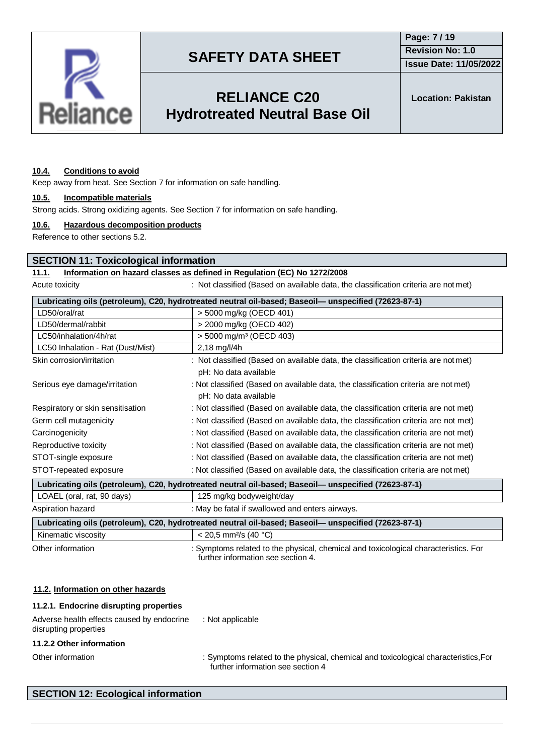

**Issue Date: 11/05/2022**

## **RELIANCE C20 Hydrotreated Neutral Base Oil**

**Location: Pakistan**

#### **10.4. Conditions to avoid**

Keep away from heat. See Section 7 for information on safe handling.

#### **10.5. Incompatible materials**

Strong acids. Strong oxidizing agents. See Section 7 for information on safe handling.

#### **10.6. Hazardous decomposition products**

Reference to other sections 5.2.

#### **SECTION 11: Toxicological information**

### **11.1. Information on hazard classes as defined in Regulation (EC) No 1272/2008**

Acute toxicity **interest in the classified (Based on available data, the classification criteria are not met)** 

| Lubricating oils (petroleum), C20, hydrotreated neutral oil-based; Baseoil— unspecified (72623-87-1) |                                                                                     |  |  |
|------------------------------------------------------------------------------------------------------|-------------------------------------------------------------------------------------|--|--|
| LD50/oral/rat                                                                                        | > 5000 mg/kg (OECD 401)                                                             |  |  |
| LD50/dermal/rabbit                                                                                   | > 2000 mg/kg (OECD 402)                                                             |  |  |
| LC50/inhalation/4h/rat                                                                               | $>$ 5000 mg/m <sup>3</sup> (OECD 403)                                               |  |  |
| LC50 Inhalation - Rat (Dust/Mist)                                                                    | $2,18$ mg/l/4h                                                                      |  |  |
| Skin corrosion/irritation                                                                            | : Not classified (Based on available data, the classification criteria are not met) |  |  |
|                                                                                                      | pH: No data available                                                               |  |  |
| Serious eye damage/irritation                                                                        | : Not classified (Based on available data, the classification criteria are not met) |  |  |
|                                                                                                      | pH: No data available                                                               |  |  |
| Respiratory or skin sensitisation                                                                    | : Not classified (Based on available data, the classification criteria are not met) |  |  |
| Germ cell mutagenicity                                                                               | : Not classified (Based on available data, the classification criteria are not met) |  |  |
| Carcinogenicity                                                                                      | : Not classified (Based on available data, the classification criteria are not met) |  |  |
| Reproductive toxicity                                                                                | : Not classified (Based on available data, the classification criteria are not met) |  |  |
| STOT-single exposure                                                                                 | : Not classified (Based on available data, the classification criteria are not met) |  |  |
| STOT-repeated exposure                                                                               | : Not classified (Based on available data, the classification criteria are not met) |  |  |
| Lubricating oils (petroleum), C20, hydrotreated neutral oil-based; Baseoil— unspecified (72623-87-1) |                                                                                     |  |  |
| LOAEL (oral, rat, 90 days)                                                                           | 125 mg/kg bodyweight/day                                                            |  |  |
| Aspiration hazard                                                                                    | : May be fatal if swallowed and enters airways.                                     |  |  |
| Lubricating oils (petroleum), C20, hydrotreated neutral oil-based; Baseoil- unspecified (72623-87-1) |                                                                                     |  |  |

Kinematic viscosity  $\vert$  < 20,5 mm<sup>2</sup>/s (40 °C) Other information : Symptoms related to the physical, chemical and toxicological characteristics. For further information see section 4.

#### **11.2. Information on other hazards**

| 11.2.1. Endocrine disrupting properties                             |                                                                                                         |
|---------------------------------------------------------------------|---------------------------------------------------------------------------------------------------------|
| Adverse health effects caused by endocrine<br>disrupting properties | : Not applicable                                                                                        |
| 11.2.2 Other information                                            |                                                                                                         |
| Other information                                                   | : Symptoms related to the physical, chemical and toxicological cha<br>further information see section A |

inacteristics,For further information see section

### **SECTION 12: Ecological information**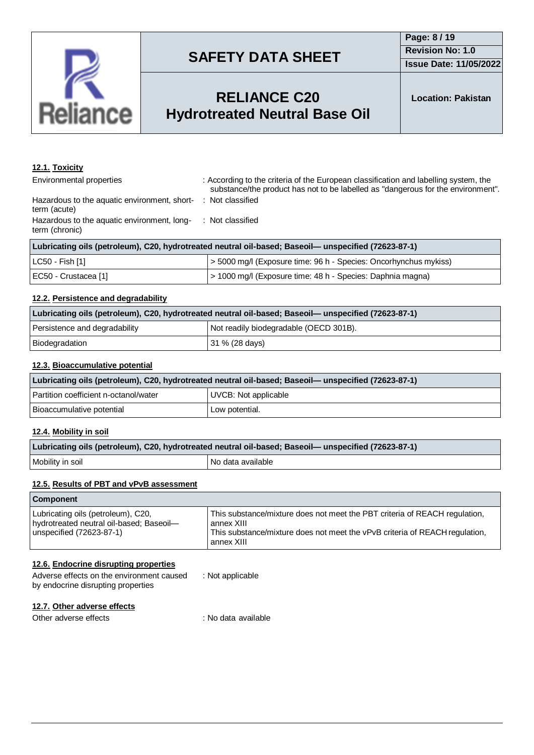

## **RELIANCE C20 Hydrotreated Neutral Base Oil**

### **12.1. Toxicity**

Environmental properties : According to the criteria of the European classification and labelling system, the substance/the product has not to be labelled as "dangerous for the environment". : Not classified

Hazardous to the aquatic environment, shortterm (acute) Hazardous to the aquatic environment, longterm (chronic) : Not classified

| Lubricating oils (petroleum), C20, hydrotreated neutral oil-based; Baseoil— unspecified (72623-87-1) |                                                                  |  |  |
|------------------------------------------------------------------------------------------------------|------------------------------------------------------------------|--|--|
| LC50 - Fish [1]                                                                                      | > 5000 mg/l (Exposure time: 96 h - Species: Oncorhynchus mykiss) |  |  |
| EC50 - Crustacea [1]                                                                                 | > 1000 mg/l (Exposure time: 48 h - Species: Daphnia magna)       |  |  |

### **12.2. Persistence and degradability**

| Lubricating oils (petroleum), C20, hydrotreated neutral oil-based; Baseoil— unspecified (72623-87-1) |                                        |  |  |
|------------------------------------------------------------------------------------------------------|----------------------------------------|--|--|
| Persistence and degradability                                                                        | Not readily biodegradable (OECD 301B). |  |  |
| Biodegradation                                                                                       | $ 31 \% (28 \text{ days}) $            |  |  |

### **12.3. Bioaccumulative potential**

| Lubricating oils (petroleum), C20, hydrotreated neutral oil-based; Baseoil— unspecified (72623-87-1) |                      |  |  |
|------------------------------------------------------------------------------------------------------|----------------------|--|--|
| Partition coefficient n-octanol/water                                                                | UVCB: Not applicable |  |  |
| Bioaccumulative potential                                                                            | Low potential.       |  |  |

#### **12.4. Mobility in soil**

| Lubricating oils (petroleum), C20, hydrotreated neutral oil-based; Baseoil— unspecified (72623-87-1) |                   |  |
|------------------------------------------------------------------------------------------------------|-------------------|--|
| Mobility in soil                                                                                     | No data available |  |

#### **12.5. Results of PBT and vPvB assessment**

| <b>Component</b>                                                                                           |                                                                                                                                                                                       |
|------------------------------------------------------------------------------------------------------------|---------------------------------------------------------------------------------------------------------------------------------------------------------------------------------------|
| Lubricating oils (petroleum), C20,<br>hydrotreated neutral oil-based; Baseoil-<br>unspecified (72623-87-1) | This substance/mixture does not meet the PBT criteria of REACH regulation,<br>annex XIII<br>This substance/mixture does not meet the vPvB criteria of REACH regulation,<br>annex XIII |

#### **12.6. Endocrine disrupting properties**

| Adverse effects on the environment caused | : Not applicable |
|-------------------------------------------|------------------|
| by endocrine disrupting properties        |                  |

### **12.7. Other adverse effects**

Other adverse effects in the set of the set of the set of the contract of the contract of the contract of the contract of the contract of the contract of the contract of the contract of the contract of the contract of the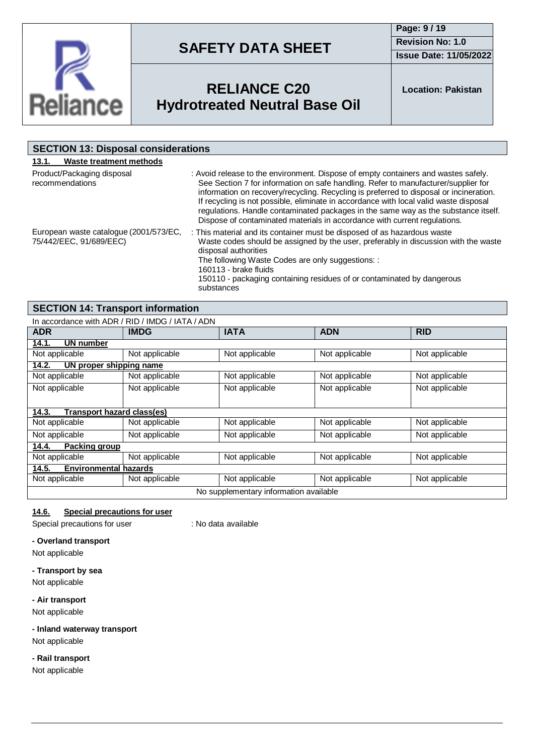

**Page: 9 / 19 Revision No: 1.0 Issue Date: 11/05/2022**



## **RELIANCE C20 Hydrotreated Neutral Base Oil**

**Location: Pakistan**

| <b>SECTION 13: Disposal considerations</b>                        |                                                                                                                                                                                                                                                                                                                                                                                                                                                                                                                                |  |  |
|-------------------------------------------------------------------|--------------------------------------------------------------------------------------------------------------------------------------------------------------------------------------------------------------------------------------------------------------------------------------------------------------------------------------------------------------------------------------------------------------------------------------------------------------------------------------------------------------------------------|--|--|
| Waste treatment methods<br>13.1.                                  |                                                                                                                                                                                                                                                                                                                                                                                                                                                                                                                                |  |  |
| Product/Packaging disposal<br>recommendations                     | : Avoid release to the environment. Dispose of empty containers and wastes safely.<br>See Section 7 for information on safe handling. Refer to manufacturer/supplier for<br>information on recovery/recycling. Recycling is preferred to disposal or incineration.<br>If recycling is not possible, eliminate in accordance with local valid waste disposal<br>regulations. Handle contaminated packages in the same way as the substance itself.<br>Dispose of contaminated materials in accordance with current regulations. |  |  |
| European waste catalogue (2001/573/EC,<br>75/442/EEC, 91/689/EEC) | : This material and its container must be disposed of as hazardous waste<br>Waste codes should be assigned by the user, preferably in discussion with the waste<br>disposal authorities<br>The following Waste Codes are only suggestions: :<br>160113 - brake fluids<br>150110 - packaging containing residues of or contaminated by dangerous<br>substances                                                                                                                                                                  |  |  |

### **SECTION 14: Transport information**

| In accordance with ADR / RID / IMDG / IATA / ADN |                |                |                |                |
|--------------------------------------------------|----------------|----------------|----------------|----------------|
| <b>ADR</b>                                       | <b>IMDG</b>    | <b>IATA</b>    | <b>ADN</b>     | <b>RID</b>     |
| 14.1.<br>UN number                               |                |                |                |                |
| Not applicable                                   | Not applicable | Not applicable | Not applicable | Not applicable |
| 14.2.<br>UN proper shipping name                 |                |                |                |                |
| Not applicable                                   | Not applicable | Not applicable | Not applicable | Not applicable |
| Not applicable                                   | Not applicable | Not applicable | Not applicable | Not applicable |
|                                                  |                |                |                |                |
| Transport hazard class(es)<br>14.3.              |                |                |                |                |
| Not applicable                                   | Not applicable | Not applicable | Not applicable | Not applicable |
| Not applicable                                   | Not applicable | Not applicable | Not applicable | Not applicable |
| 14.4.<br>Packing group                           |                |                |                |                |
| Not applicable                                   | Not applicable | Not applicable | Not applicable | Not applicable |
| 14.5.<br><b>Environmental hazards</b>            |                |                |                |                |
| Not applicable                                   | Not applicable | Not applicable | Not applicable | Not applicable |
| No supplementary information available           |                |                |                |                |

### **14.6. Special precautions for user**

Special precautions for user : No data available

#### **- Overland transport**

Not applicable

#### **- Transport by sea**

Not applicable

#### **- Air transport**

Not applicable

### **- Inland waterway transport**

Not applicable

### **- Rail transport**

Not applicable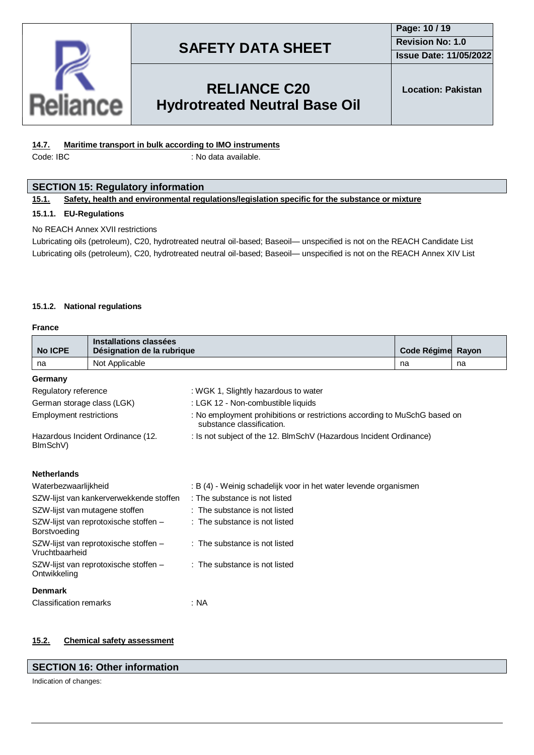

### **Page: 10 / 19 Revision No: 1.0 Issue Date: 11/05/2022**

## **RELIANCE C20 Hydrotreated Neutral Base Oil**

**Location: Pakistan**

### **14.7. Maritime transport in bulk according to IMO instruments**

Code: IBC : No data available.

### **SECTION 15: Regulatory information**

#### **15.1. Safety, health and environmental regulations/legislation specific for the substance or mixture**

#### **15.1.1. EU-Regulations**

#### No REACH Annex XVII restrictions

Lubricating oils (petroleum), C20, hydrotreated neutral oil-based; Baseoil— unspecified is not on the REACH Candidate List Lubricating oils (petroleum), C20, hydrotreated neutral oil-based; Baseoil— unspecified is not on the REACH Annex XIV List

#### **15.1.2. National regulations**

#### **France**

| <b>No ICPE</b>                                          | Installations classées<br>Désignation de la rubrique |                                                                                                        | Code Régime Rayon |    |  |  |
|---------------------------------------------------------|------------------------------------------------------|--------------------------------------------------------------------------------------------------------|-------------------|----|--|--|
| na                                                      | Not Applicable                                       |                                                                                                        | na                | na |  |  |
| Germany                                                 |                                                      |                                                                                                        |                   |    |  |  |
| Regulatory reference                                    |                                                      | : WGK 1, Slightly hazardous to water                                                                   |                   |    |  |  |
| German storage class (LGK)                              |                                                      | : LGK 12 - Non-combustible liquids                                                                     |                   |    |  |  |
| <b>Employment restrictions</b>                          |                                                      | : No employment prohibitions or restrictions according to MuSchG based on<br>substance classification. |                   |    |  |  |
| Hazardous Incident Ordinance (12.<br>BImSchV)           |                                                      | : Is not subject of the 12. BlmSchV (Hazardous Incident Ordinance)                                     |                   |    |  |  |
| <b>Netherlands</b>                                      |                                                      |                                                                                                        |                   |    |  |  |
| Waterbezwaarlijkheid                                    |                                                      | : B (4) - Weinig schadelijk voor in het water levende organismen                                       |                   |    |  |  |
|                                                         | SZW-lijst van kankerverwekkende stoffen              | : The substance is not listed                                                                          |                   |    |  |  |
|                                                         | SZW-lijst van mutagene stoffen                       | : The substance is not listed                                                                          |                   |    |  |  |
| SZW-lijst van reprotoxische stoffen -<br>Borstvoeding   |                                                      | : The substance is not listed                                                                          |                   |    |  |  |
| SZW-lijst van reprotoxische stoffen -<br>Vruchtbaarheid |                                                      | : The substance is not listed                                                                          |                   |    |  |  |
| SZW-lijst van reprotoxische stoffen -<br>Ontwikkeling   |                                                      | : The substance is not listed                                                                          |                   |    |  |  |
| <b>Denmark</b>                                          |                                                      |                                                                                                        |                   |    |  |  |
| <b>Classification remarks</b>                           |                                                      | : NA                                                                                                   |                   |    |  |  |

### **15.2. Chemical safety assessment**

#### **SECTION 16: Other information**

Indication of changes: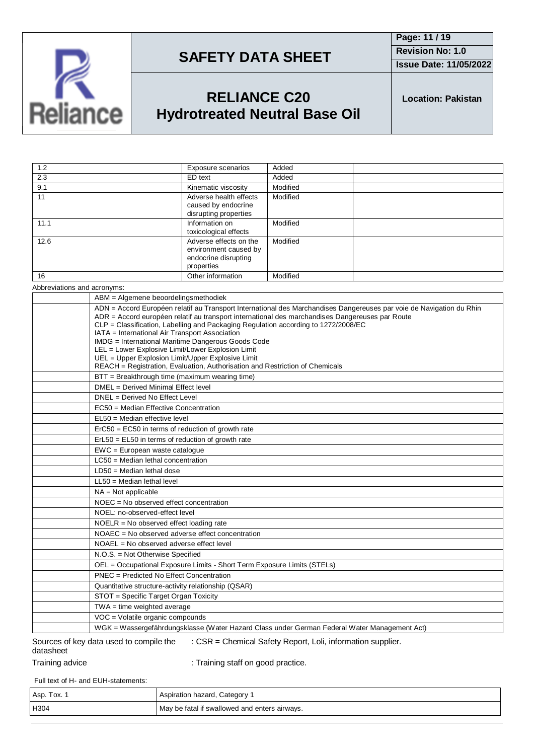

**Page: 11 / 19 Revision No: 1.0 Issue Date: 11/05/2022**

## **RELIANCE C20 Hydrotreated Neutral Base Oil**

**Location: Pakistan**

| 1.2  | Exposure scenarios                                                                    | Added    |
|------|---------------------------------------------------------------------------------------|----------|
| 2.3  | ED text                                                                               | Added    |
| 9.1  | Kinematic viscosity                                                                   | Modified |
| 11   | Adverse health effects<br>caused by endocrine<br>disrupting properties                | Modified |
| 11.1 | Information on<br>toxicological effects                                               | Modified |
| 12.6 | Adverse effects on the<br>environment caused by<br>endocrine disrupting<br>properties | Modified |
| 16   | Other information                                                                     | Modified |
|      |                                                                                       |          |

Abbreviations and acronyms:

| ADN = Accord Européen relatif au Transport International des Marchandises Dangereuses par voie de Navigation du Rhin<br>ADR = Accord européen relatif au transport international des marchandises Dangereuses par Route                                                                                                                                                              |  |
|--------------------------------------------------------------------------------------------------------------------------------------------------------------------------------------------------------------------------------------------------------------------------------------------------------------------------------------------------------------------------------------|--|
| CLP = Classification, Labelling and Packaging Regulation according to 1272/2008/EC<br>IATA = International Air Transport Association<br>IMDG = International Maritime Dangerous Goods Code<br>LEL = Lower Explosive Limit/Lower Explosion Limit<br>UEL = Upper Explosion Limit/Upper Explosive Limit<br>REACH = Registration, Evaluation, Authorisation and Restriction of Chemicals |  |
| BTT = Breakthrough time (maximum wearing time)                                                                                                                                                                                                                                                                                                                                       |  |
| DMEL = Derived Minimal Effect level                                                                                                                                                                                                                                                                                                                                                  |  |
| DNEL = Derived No Effect Level                                                                                                                                                                                                                                                                                                                                                       |  |
| EC50 = Median Effective Concentration                                                                                                                                                                                                                                                                                                                                                |  |
| $EL50 = Median$ effective level                                                                                                                                                                                                                                                                                                                                                      |  |
| ErC50 = EC50 in terms of reduction of growth rate                                                                                                                                                                                                                                                                                                                                    |  |
| $ErL50 = EL50$ in terms of reduction of growth rate                                                                                                                                                                                                                                                                                                                                  |  |
| EWC = European waste catalogue                                                                                                                                                                                                                                                                                                                                                       |  |
| $LC50$ = Median lethal concentration                                                                                                                                                                                                                                                                                                                                                 |  |
| $LD50 = Median$ lethal dose                                                                                                                                                                                                                                                                                                                                                          |  |
| $LL50$ = Median lethal level                                                                                                                                                                                                                                                                                                                                                         |  |
| $NA = Not applicable$                                                                                                                                                                                                                                                                                                                                                                |  |
| $NOEC = No observed effect concentration$                                                                                                                                                                                                                                                                                                                                            |  |
| NOEL: no-observed-effect level                                                                                                                                                                                                                                                                                                                                                       |  |
| $NOELR = No observed effect loading rate$                                                                                                                                                                                                                                                                                                                                            |  |
| NOAEC = No observed adverse effect concentration                                                                                                                                                                                                                                                                                                                                     |  |
| NOAEL = No observed adverse effect level                                                                                                                                                                                                                                                                                                                                             |  |
| N.O.S. = Not Otherwise Specified                                                                                                                                                                                                                                                                                                                                                     |  |
| OEL = Occupational Exposure Limits - Short Term Exposure Limits (STELs)                                                                                                                                                                                                                                                                                                              |  |
| PNEC = Predicted No Effect Concentration                                                                                                                                                                                                                                                                                                                                             |  |
| Quantitative structure-activity relationship (QSAR)                                                                                                                                                                                                                                                                                                                                  |  |
| STOT = Specific Target Organ Toxicity                                                                                                                                                                                                                                                                                                                                                |  |
| $TWA = time weighted average$                                                                                                                                                                                                                                                                                                                                                        |  |
| VOC = Volatile organic compounds                                                                                                                                                                                                                                                                                                                                                     |  |
| WGK = Wassergefährdungsklasse (Water Hazard Class under German Federal Water Management Act)                                                                                                                                                                                                                                                                                         |  |

#### Sources of key data used to compile the datasheet : CSR = Chemical Safety Report, Loli, information supplier.

Training advice **in the state of the Contract** : Training staff on good practice.

Full text of H- and EUH-statements:

| Asp. Tox. | Aspiration hazard, Category                   |
|-----------|-----------------------------------------------|
| H304      | May be fatal if swallowed and enters airways. |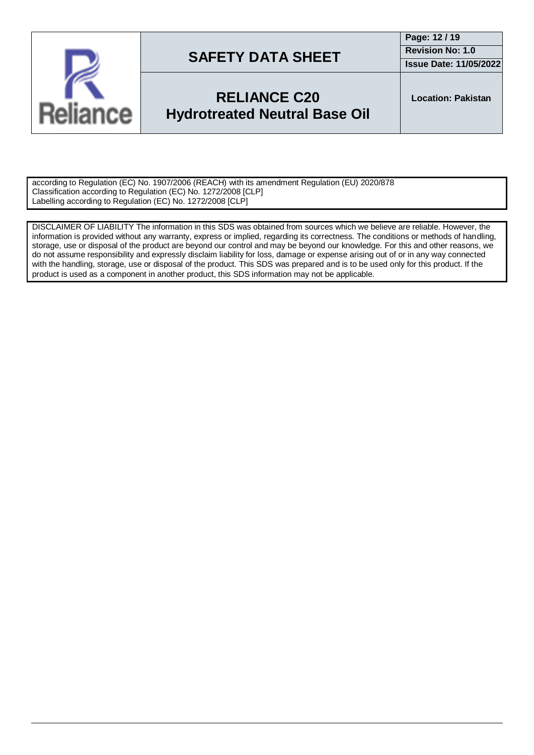

### **Page: 12 / 19 Revision No: 1.0**

**Issue Date: 11/05/2022**

## **RELIANCE C20 Hydrotreated Neutral Base Oil**

**Location: Pakistan**

according to Regulation (EC) No. 1907/2006 (REACH) with its amendment Regulation (EU) 2020/878 Classification according to Regulation (EC) No. 1272/2008 [CLP] Labelling according to Regulation (EC) No. 1272/2008 [CLP]

DISCLAIMER OF LIABILITY The information in this SDS was obtained from sources which we believe are reliable. However, the information is provided without any warranty, express or implied, regarding its correctness. The conditions or methods of handling, storage, use or disposal of the product are beyond our control and may be beyond our knowledge. For this and other reasons, we do not assume responsibility and expressly disclaim liability for loss, damage or expense arising out of or in any way connected with the handling, storage, use or disposal of the product. This SDS was prepared and is to be used only for this product. If the product is used as a component in another product, this SDS information may not be applicable.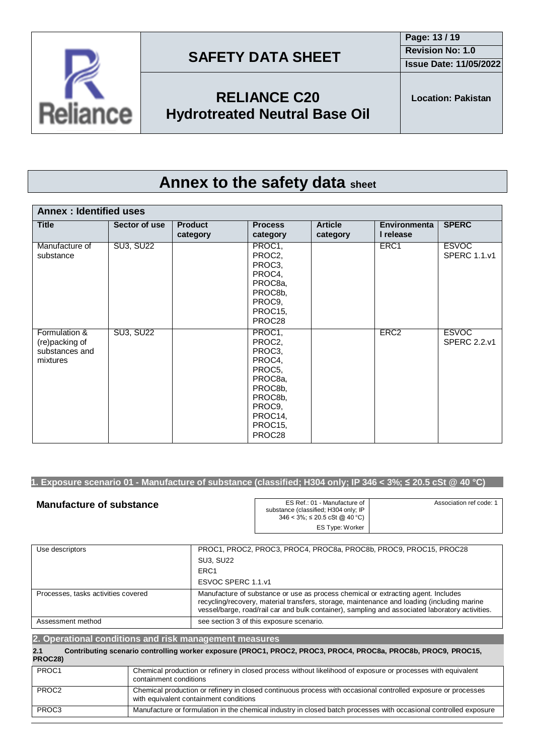





**RELIANCE C20 Hydrotreated Neutral Base Oil**

# **Annex to the safety data sheet**

| <b>Annex: Identified uses</b>                                 |                  |                            |                                                                                                                           |                            |                                  |                                     |
|---------------------------------------------------------------|------------------|----------------------------|---------------------------------------------------------------------------------------------------------------------------|----------------------------|----------------------------------|-------------------------------------|
| <b>Title</b>                                                  | Sector of use    | <b>Product</b><br>category | <b>Process</b><br>category                                                                                                | <b>Article</b><br>category | <b>Environmenta</b><br>I release | <b>SPERC</b>                        |
| Manufacture of<br>substance                                   | <b>SU3, SU22</b> |                            | PROC1,<br>PROC2,<br>PROC3,<br>PROC4,<br>PROC8a,<br>PROC8b,<br>PROC9,<br>PROC15,<br>PROC28                                 |                            | ERC1                             | <b>ESVOC</b><br><b>SPERC 1.1.v1</b> |
| Formulation &<br>(re)packing of<br>substances and<br>mixtures | <b>SU3, SU22</b> |                            | PROC1,<br>PROC2,<br>PROC3,<br>PROC4,<br>PROC5,<br>PROC8a,<br>PROC8b,<br>PROC8b,<br>PROC9,<br>PROC14,<br>PROC15,<br>PROC28 |                            | ERC <sub>2</sub>                 | <b>ESVOC</b><br><b>SPERC 2.2.v1</b> |

### 1. Exposure scenario 01 - Manufacture of substance (classified; H304 only; IP 346 < 3%;  $\leq$  20.5 cSt @ 40 °C)

| <b>Manufacture of substance</b> | ES Ref.: 01 - Manufacture of<br>substance (classified; H304 only; IP<br>346 < 3%; ≤ 20.5 cSt @ 40 °C) | Association ref code: 1 |
|---------------------------------|-------------------------------------------------------------------------------------------------------|-------------------------|
|                                 | ES Type: Worker                                                                                       |                         |

| Use descriptors                     | PROC1, PROC2, PROC3, PROC4, PROC8a, PROC8b, PROC9, PROC15, PROC28                                                                                                                                                                                                                  |
|-------------------------------------|------------------------------------------------------------------------------------------------------------------------------------------------------------------------------------------------------------------------------------------------------------------------------------|
|                                     | <b>SU3, SU22</b>                                                                                                                                                                                                                                                                   |
|                                     | ERC <sub>1</sub>                                                                                                                                                                                                                                                                   |
|                                     | ESVOC SPERC 1.1.v1                                                                                                                                                                                                                                                                 |
| Processes, tasks activities covered | Manufacture of substance or use as process chemical or extracting agent. Includes<br>recycling/recovery, material transfers, storage, maintenance and loading (including marine<br>vessel/barge, road/rail car and bulk container), sampling and associated laboratory activities. |
| Assessment method                   | see section 3 of this exposure scenario.                                                                                                                                                                                                                                           |

| 2. Operational conditions and risk management measures |  |                                                                                                                                                         |  |
|--------------------------------------------------------|--|---------------------------------------------------------------------------------------------------------------------------------------------------------|--|
| 2.1<br>PROC28)                                         |  | Contributing scenario controlling worker exposure (PROC1, PROC2, PROC3, PROC4, PROC8a, PROC8b, PROC9, PROC15,                                           |  |
| PROC1                                                  |  | Chemical production or refinery in closed process without likelihood of exposure or processes with equivalent<br>containment conditions                 |  |
| PROC <sub>2</sub>                                      |  | Chemical production or refinery in closed continuous process with occasional controlled exposure or processes<br>with equivalent containment conditions |  |
| PROC3                                                  |  | Manufacture or formulation in the chemical industry in closed batch processes with occasional controlled exposure                                       |  |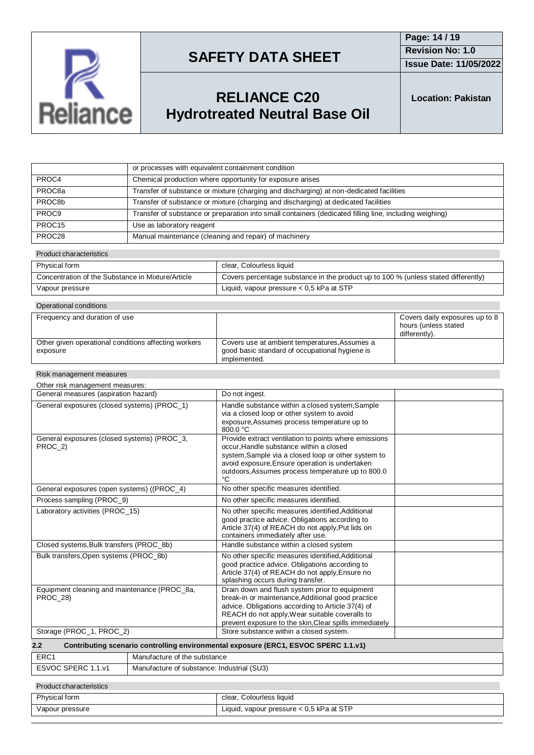

**Issue Date: 11/05/2022**

## **RELIANCE C20 Hydrotreated Neutral Base Oil**

**Location: Pakistan**

|                    | or processes with equivalent containment condition                                                      |
|--------------------|---------------------------------------------------------------------------------------------------------|
| PROC4              | Chemical production where opportunity for exposure arises                                               |
| PROC8a             | Transfer of substance or mixture (charging and discharging) at non-dedicated facilities                 |
| PROC8b             | Transfer of substance or mixture (charging and discharging) at dedicated facilities                     |
| PROC <sub>9</sub>  | Transfer of substance or preparation into small containers (dedicated filling line, including weighing) |
| PROC <sub>15</sub> | Use as laboratory reagent                                                                               |
| PROC28             | Manual maintenance (cleaning and repair) of machinery                                                   |

#### Product characteristics

| Physical form                                     | clear, Colourless liquid                                                           |
|---------------------------------------------------|------------------------------------------------------------------------------------|
| Concentration of the Substance in Mixture/Article | Covers percentage substance in the product up to 100 % (unless stated differently) |
| Vapour pressure                                   | Liquid, vapour pressure $< 0.5$ kPa at STP                                         |

| Operational conditions                                           |                                                                                                                 |                                                                         |  |  |  |
|------------------------------------------------------------------|-----------------------------------------------------------------------------------------------------------------|-------------------------------------------------------------------------|--|--|--|
| Frequency and duration of use                                    |                                                                                                                 | Covers daily exposures up to 8<br>hours (unless stated<br>differently). |  |  |  |
| Other given operational conditions affecting workers<br>exposure | Covers use at ambient temperatures, Assumes a<br>good basic standard of occupational hygiene is<br>implemented. |                                                                         |  |  |  |

#### Risk management measures

| Other risk management measures:                                 |                                                                                                                                                                                                                                                                      |  |  |  |
|-----------------------------------------------------------------|----------------------------------------------------------------------------------------------------------------------------------------------------------------------------------------------------------------------------------------------------------------------|--|--|--|
| General measures (aspiration hazard)                            | Do not ingest.                                                                                                                                                                                                                                                       |  |  |  |
| General exposures (closed systems) (PROC 1)                     | Handle substance within a closed system, Sample<br>via a closed loop or other system to avoid<br>exposure, Assumes process temperature up to<br>800.0 °C                                                                                                             |  |  |  |
| General exposures (closed systems) (PROC_3,<br>PROC 2)          | Provide extract ventilation to points where emissions<br>occur. Handle substance within a closed<br>system, Sample via a closed loop or other system to<br>avoid exposure, Ensure operation is undertaken<br>outdoors, Assumes process temperature up to 800.0<br>°C |  |  |  |
| General exposures (open systems) ((PROC_4)                      | No other specific measures identified.                                                                                                                                                                                                                               |  |  |  |
| Process sampling (PROC 9)                                       | No other specific measures identified.                                                                                                                                                                                                                               |  |  |  |
| Laboratory activities (PROC 15)                                 | No other specific measures identified, Additional<br>good practice advice. Obligations according to<br>Article 37(4) of REACH do not apply, Put lids on<br>containers immediately after use.                                                                         |  |  |  |
| Closed systems, Bulk transfers (PROC 8b)                        | Handle substance within a closed system                                                                                                                                                                                                                              |  |  |  |
| Bulk transfers, Open systems (PROC_8b)                          | No other specific measures identified, Additional<br>good practice advice. Obligations according to<br>Article 37(4) of REACH do not apply, Ensure no<br>splashing occurs during transfer.                                                                           |  |  |  |
| Equipment cleaning and maintenance (PROC 8a,<br><b>PROC 28)</b> | Drain down and flush system prior to equipment<br>break-in or maintenance, Additional good practice<br>advice. Obligations according to Article 37(4) of<br>REACH do not apply, Wear suitable coveralls to<br>prevent exposure to the skin, Clear spills immediately |  |  |  |
| Storage (PROC_1, PROC_2)                                        | Store substance within a closed system.                                                                                                                                                                                                                              |  |  |  |
| 2.2                                                             | Contributing scenario controlling environmental exposure (ERC1, ESVOC SPERC 1.1.v1)                                                                                                                                                                                  |  |  |  |
| ED <sub>C</sub> 1                                               | Manufacture of the cubetance                                                                                                                                                                                                                                         |  |  |  |

| ERC <sup>2</sup>             | Manufacture of the substance               |
|------------------------------|--------------------------------------------|
| <b>ESVOC SPERC</b><br>. 1 v. | Manufacture of substance: Industrial (SU3) |
|                              |                                            |

#### Product characteristics

| Physical form   | clear, Colourless liquid                   |
|-----------------|--------------------------------------------|
| Vapour pressure | Liquid, vapour pressure $< 0.5$ kPa at STP |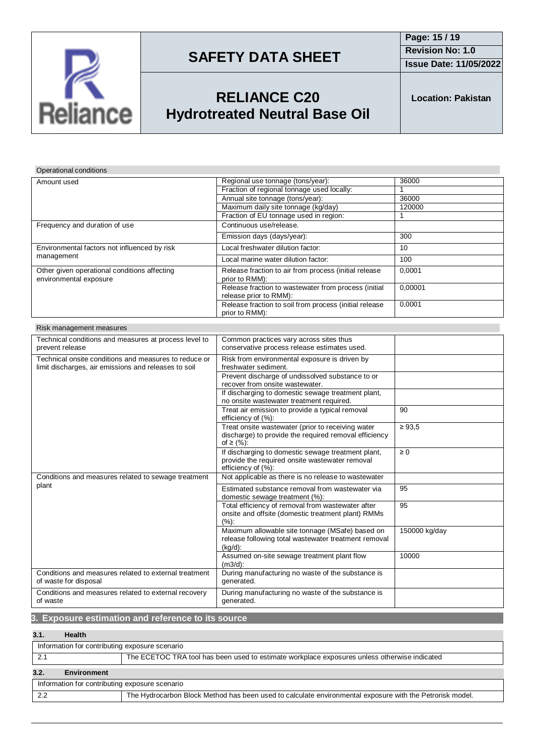

**Issue Date: 11/05/2022**

## **RELIANCE C20 Hydrotreated Neutral Base Oil**

**Location: Pakistan**

### Operational conditions

| Amount used                                                            | Regional use tonnage (tons/year):                                              | 36000   |
|------------------------------------------------------------------------|--------------------------------------------------------------------------------|---------|
|                                                                        | Fraction of regional tonnage used locally:                                     |         |
|                                                                        | Annual site tonnage (tons/year):                                               | 36000   |
|                                                                        | Maximum daily site tonnage (kg/day)                                            | 120000  |
|                                                                        | Fraction of EU tonnage used in region:                                         |         |
| Frequency and duration of use                                          | Continuous use/release.                                                        |         |
|                                                                        | Emission days (days/year):                                                     | 300     |
| Environmental factors not influenced by risk                           | Local freshwater dilution factor:                                              | 10      |
| management                                                             | Local marine water dilution factor:                                            | 100     |
| Other given operational conditions affecting<br>environmental exposure | Release fraction to air from process (initial release<br>prior to RMM):        | 0,0001  |
|                                                                        | Release fraction to wastewater from process (initial<br>release prior to RMM): | 0,00001 |
|                                                                        | Release fraction to soil from process (initial release<br>prior to RMM):       | 0,0001  |

| Risk management measures |  |
|--------------------------|--|
|--------------------------|--|

| Technical conditions and measures at process level to                                                         | Common practices vary across sites thus                                                                                    |               |
|---------------------------------------------------------------------------------------------------------------|----------------------------------------------------------------------------------------------------------------------------|---------------|
| prevent release                                                                                               | conservative process release estimates used.                                                                               |               |
| Technical onsite conditions and measures to reduce or<br>limit discharges, air emissions and releases to soil | Risk from environmental exposure is driven by<br>freshwater sediment.                                                      |               |
|                                                                                                               | Prevent discharge of undissolved substance to or<br>recover from onsite wastewater.                                        |               |
|                                                                                                               | If discharging to domestic sewage treatment plant,<br>no onsite wastewater treatment required.                             |               |
|                                                                                                               | Treat air emission to provide a typical removal<br>efficiency of (%):                                                      | 90            |
|                                                                                                               | Treat onsite wastewater (prior to receiving water<br>discharge) to provide the required removal efficiency<br>of ≥ $(%):$  | $\geq 93.5$   |
|                                                                                                               | If discharging to domestic sewage treatment plant,<br>provide the required onsite wastewater removal<br>efficiency of (%): | $\geq 0$      |
| Conditions and measures related to sewage treatment                                                           | Not applicable as there is no release to wastewater                                                                        |               |
| plant                                                                                                         | Estimated substance removal from wastewater via<br>domestic sewage treatment (%):                                          | 95            |
|                                                                                                               | Total efficiency of removal from wastewater after<br>onsite and offsite (domestic treatment plant) RMMs<br>(%):            | 95            |
|                                                                                                               | Maximum allowable site tonnage (MSafe) based on<br>release following total wastewater treatment removal<br>$(kq/d)$ :      | 150000 kg/day |
|                                                                                                               | Assumed on-site sewage treatment plant flow<br>$(m3/d)$ :                                                                  | 10000         |
| Conditions and measures related to external treatment<br>of waste for disposal                                | During manufacturing no waste of the substance is<br>generated.                                                            |               |
| Conditions and measures related to external recovery<br>of waste                                              | During manufacturing no waste of the substance is<br>generated.                                                            |               |

### **3. Exposure estimation and reference to its source**

### **3.1. Health**

| Information for contributing exposure scenario                                               |                                                                                                          |  |
|----------------------------------------------------------------------------------------------|----------------------------------------------------------------------------------------------------------|--|
| The ECETOC TRA tool has been used to estimate workplace exposures unless otherwise indicated |                                                                                                          |  |
| 3.2.<br><b>Environment</b>                                                                   |                                                                                                          |  |
| Information for contributing exposure scenario                                               |                                                                                                          |  |
| 2.2                                                                                          | The Hydrocarbon Block Method has been used to calculate environmental exposure with the Petrorisk model. |  |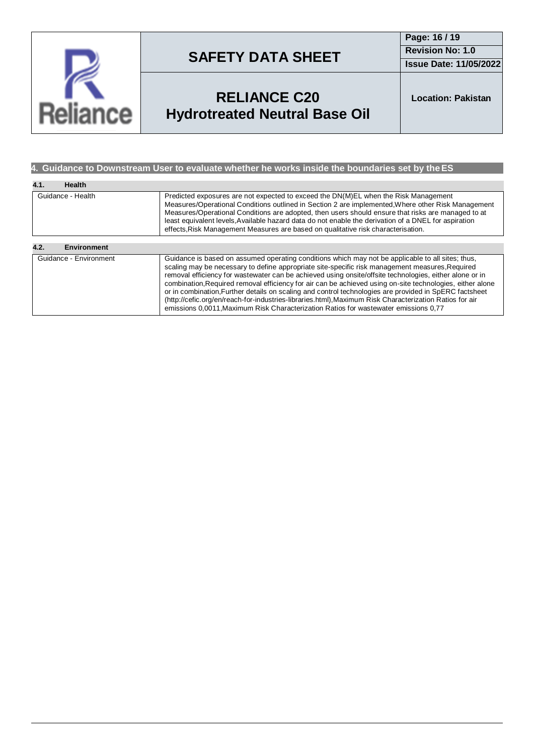

**Page: 16 / 19 Revision No: 1.0**

**Issue Date: 11/05/2022**

## **RELIANCE C20 Hydrotreated Neutral Base Oil**

**Location: Pakistan**

### **4. Guidance to Downstream User to evaluate whether he works inside the boundaries set by theES**

| 4.1.<br>Health             |                                                                                                                                                                                                                                                                                                                                                                                                                                                                                                                                                                                                                                                                                                                                           |
|----------------------------|-------------------------------------------------------------------------------------------------------------------------------------------------------------------------------------------------------------------------------------------------------------------------------------------------------------------------------------------------------------------------------------------------------------------------------------------------------------------------------------------------------------------------------------------------------------------------------------------------------------------------------------------------------------------------------------------------------------------------------------------|
| Guidance - Health          | Predicted exposures are not expected to exceed the DN(M)EL when the Risk Management<br>Measures/Operational Conditions outlined in Section 2 are implemented. Where other Risk Management<br>Measures/Operational Conditions are adopted, then users should ensure that risks are managed to at<br>least equivalent levels. Available hazard data do not enable the derivation of a DNEL for aspiration<br>effects, Risk Management Measures are based on qualitative risk characterisation.                                                                                                                                                                                                                                              |
|                            |                                                                                                                                                                                                                                                                                                                                                                                                                                                                                                                                                                                                                                                                                                                                           |
| 4.2.<br><b>Environment</b> |                                                                                                                                                                                                                                                                                                                                                                                                                                                                                                                                                                                                                                                                                                                                           |
| Guidance - Environment     | Guidance is based on assumed operating conditions which may not be applicable to all sites; thus,<br>scaling may be necessary to define appropriate site-specific risk management measures, Required<br>removal efficiency for wastewater can be achieved using onsite/offsite technologies, either alone or in<br>combination, Required removal efficiency for air can be achieved using on-site technologies, either alone<br>or in combination. Further details on scaling and control technologies are provided in SpERC factsheet<br>(http://cefic.org/en/reach-for-industries-libraries.html), Maximum Risk Characterization Ratios for air<br>emissions 0,0011, Maximum Risk Characterization Ratios for wastewater emissions 0,77 |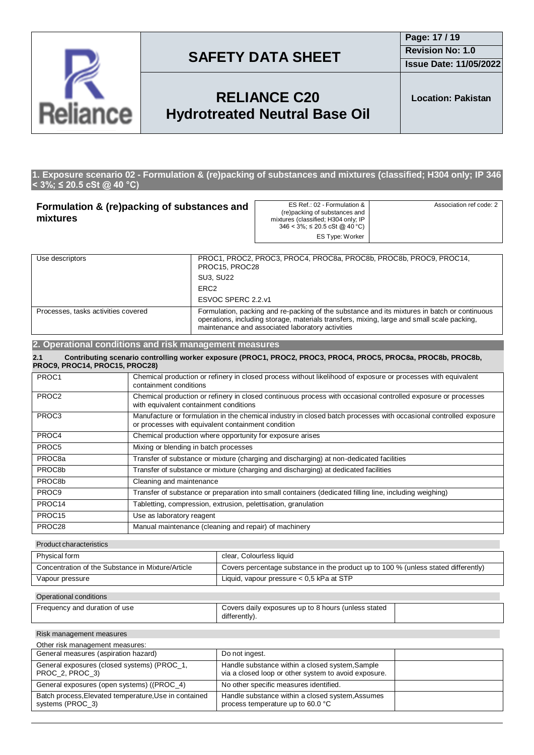

**Issue Date: 11/05/2022**

## **RELIANCE C20 Hydrotreated Neutral Base Oil**

**Location: Pakistan**

#### **1. Exposure scenario 02 - Formulation & (re)packing of substances and mixtures (classified; H304 only; IP 346 < 3%; ≤ 20.5 cSt @ 40 °C)**

| Formulation & (re)packing of substances and<br>mixtures |                                                                                                                                                         | ES Ref.: 02 - Formulation &<br>(re)packing of substances and<br>mixtures (classified; H304 only; IP<br>$346 < 3\%$ ; $\leq 20.5$ cSt @ 40 °C)  | Association ref code: 2                                                                      |  |
|---------------------------------------------------------|---------------------------------------------------------------------------------------------------------------------------------------------------------|------------------------------------------------------------------------------------------------------------------------------------------------|----------------------------------------------------------------------------------------------|--|
|                                                         |                                                                                                                                                         | ES Type: Worker                                                                                                                                |                                                                                              |  |
| Use descriptors                                         |                                                                                                                                                         | PROC1, PROC2, PROC3, PROC4, PROC8a, PROC8b, PROC8b, PROC9, PROC14,<br>PROC15, PROC28                                                           |                                                                                              |  |
|                                                         | <b>SU3, SU22</b>                                                                                                                                        |                                                                                                                                                |                                                                                              |  |
|                                                         | ERC <sub>2</sub>                                                                                                                                        |                                                                                                                                                |                                                                                              |  |
| ESVOC SPERC 2.2.v1                                      |                                                                                                                                                         |                                                                                                                                                |                                                                                              |  |
| Processes, tasks activities covered                     |                                                                                                                                                         | operations, including storage, materials transfers, mixing, large and small scale packing,<br>maintenance and associated laboratory activities | Formulation, packing and re-packing of the substance and its mixtures in batch or continuous |  |
|                                                         | 2. Operational conditions and risk management measures                                                                                                  |                                                                                                                                                |                                                                                              |  |
| 2.1<br>PROC9, PROC14, PROC15, PROC28)                   |                                                                                                                                                         | Contributing scenario controlling worker exposure (PROC1, PROC2, PROC3, PROC4, PROC5, PROC8a, PROC8b, PROC8b,                                  |                                                                                              |  |
| PROC1                                                   | Chemical production or refinery in closed process without likelihood of exposure or processes with equivalent<br>containment conditions                 |                                                                                                                                                |                                                                                              |  |
| PROC <sub>2</sub>                                       | Chemical production or refinery in closed continuous process with occasional controlled exposure or processes<br>with equivalent containment conditions |                                                                                                                                                |                                                                                              |  |
| PROC3                                                   | Manufacture or formulation in the chemical industry in closed batch processes with occasional controlled exposure                                       |                                                                                                                                                |                                                                                              |  |

|                    | or processes with equivalent containment condition                                                      |
|--------------------|---------------------------------------------------------------------------------------------------------|
| PROC4              | Chemical production where opportunity for exposure arises                                               |
| PROC5              | Mixing or blending in batch processes                                                                   |
| PROC8a             | Transfer of substance or mixture (charging and discharging) at non-dedicated facilities                 |
| PROC8b             | Transfer of substance or mixture (charging and discharging) at dedicated facilities                     |
| PROC8b             | Cleaning and maintenance                                                                                |
| PROC9              | Transfer of substance or preparation into small containers (dedicated filling line, including weighing) |
| PROC14             | Tabletting, compression, extrusion, pelettisation, granulation                                          |
| PROC <sub>15</sub> | Use as laboratory reagent                                                                               |
| PROC28             | Manual maintenance (cleaning and repair) of machinery                                                   |

#### Product characteristics

| Physical form                                     | clear, Colourless liquid                                                           |
|---------------------------------------------------|------------------------------------------------------------------------------------|
| Concentration of the Substance in Mixture/Article | Covers percentage substance in the product up to 100 % (unless stated differently) |
| Vapour pressure                                   | Liquid, vapour pressure $< 0.5$ kPa at STP                                         |

#### Operational conditions

| Frequency and duration of use | Covers daily exposures up to 8 hours (unless stated |  |
|-------------------------------|-----------------------------------------------------|--|
|                               | differently).                                       |  |

#### Risk management measures

| Other risk management measures:                                           |                                                                                                         |  |  |
|---------------------------------------------------------------------------|---------------------------------------------------------------------------------------------------------|--|--|
| General measures (aspiration hazard)                                      | Do not ingest.                                                                                          |  |  |
| General exposures (closed systems) (PROC 1,<br>PROC 2, PROC 3)            | Handle substance within a closed system, Sample<br>via a closed loop or other system to avoid exposure. |  |  |
| General exposures (open systems) ((PROC_4)                                | No other specific measures identified.                                                                  |  |  |
| Batch process, Elevated temperature, Use in contained<br>systems (PROC 3) | Handle substance within a closed system, Assumes<br>process temperature up to 60.0 °C                   |  |  |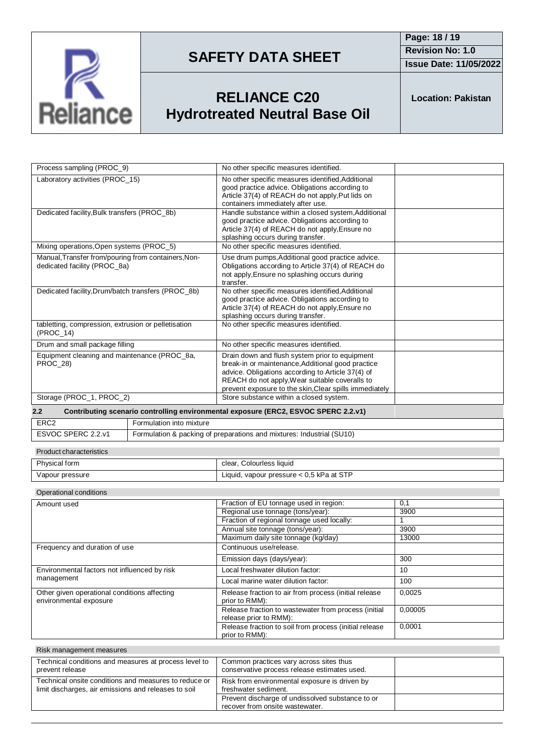

**Issue Date: 11/05/2022**

## **RELIANCE C20 Hydrotreated Neutral Base Oil**

**Location: Pakistan**

| Process sampling (PROC_9)                                                                               |                          | No other specific measures identified.                                                                                                                                                                                                                               |  |
|---------------------------------------------------------------------------------------------------------|--------------------------|----------------------------------------------------------------------------------------------------------------------------------------------------------------------------------------------------------------------------------------------------------------------|--|
| Laboratory activities (PROC 15)                                                                         |                          | No other specific measures identified, Additional<br>good practice advice. Obligations according to<br>Article 37(4) of REACH do not apply, Put lids on<br>containers immediately after use.                                                                         |  |
| Dedicated facility, Bulk transfers (PROC_8b)                                                            |                          | Handle substance within a closed system, Additional<br>good practice advice. Obligations according to<br>Article 37(4) of REACH do not apply. Ensure no<br>splashing occurs during transfer.                                                                         |  |
| Mixing operations, Open systems (PROC 5)                                                                |                          | No other specific measures identified.                                                                                                                                                                                                                               |  |
| Manual, Transfer from/pouring from containers, Non-<br>dedicated facility (PROC 8a)                     |                          | Use drum pumps, Additional good practice advice.<br>Obligations according to Article 37(4) of REACH do<br>not apply, Ensure no splashing occurs during<br>transfer.                                                                                                  |  |
| Dedicated facility, Drum/batch transfers (PROC_8b)                                                      |                          | No other specific measures identified, Additional<br>good practice advice. Obligations according to<br>Article 37(4) of REACH do not apply, Ensure no<br>splashing occurs during transfer.                                                                           |  |
| tabletting, compression, extrusion or pelletisation<br>(PROC 14)                                        |                          | No other specific measures identified.                                                                                                                                                                                                                               |  |
| Drum and small package filling                                                                          |                          | No other specific measures identified.                                                                                                                                                                                                                               |  |
| Equipment cleaning and maintenance (PROC_8a,<br><b>PROC 28)</b>                                         |                          | Drain down and flush system prior to equipment<br>break-in or maintenance, Additional good practice<br>advice. Obligations according to Article 37(4) of<br>REACH do not apply, Wear suitable coveralls to<br>prevent exposure to the skin, Clear spills immediately |  |
| Storage (PROC 1, PROC 2)                                                                                |                          | Store substance within a closed system.                                                                                                                                                                                                                              |  |
| Contributing scenario controlling environmental exposure (ERC2, ESVOC SPERC 2.2.v1)<br>$2.2\phantom{0}$ |                          |                                                                                                                                                                                                                                                                      |  |
| ERC <sub>2</sub>                                                                                        | Formulation into mixture |                                                                                                                                                                                                                                                                      |  |
| ESVOC SPERC 2.2.v1                                                                                      |                          | Formulation & packing of preparations and mixtures: Industrial (SU10)                                                                                                                                                                                                |  |
| <b>Product characteristics</b>                                                                          |                          |                                                                                                                                                                                                                                                                      |  |
| Physical form                                                                                           |                          | clear Colourless liquid                                                                                                                                                                                                                                              |  |

### Physical form **clear** clear, Colourless liquid Vapour pressure Liquid, vapour pressure < 0,5 kPa at STP

#### Operational conditions

| Amount used                                                            | Fraction of EU tonnage used in region:                                         | 0,1     |
|------------------------------------------------------------------------|--------------------------------------------------------------------------------|---------|
|                                                                        | Regional use tonnage (tons/year):                                              | 3900    |
|                                                                        | Fraction of regional tonnage used locally:                                     |         |
|                                                                        | Annual site tonnage (tons/year):                                               | 3900    |
|                                                                        | Maximum daily site tonnage (kg/day)                                            | 13000   |
| Frequency and duration of use                                          | Continuous use/release.                                                        |         |
|                                                                        | Emission days (days/year):                                                     | 300     |
| Environmental factors not influenced by risk                           | Local freshwater dilution factor:                                              | 10      |
| management                                                             | Local marine water dilution factor:                                            | 100     |
| Other given operational conditions affecting<br>environmental exposure | Release fraction to air from process (initial release<br>prior to RMM):        | 0,0025  |
|                                                                        | Release fraction to wastewater from process (initial<br>release prior to RMM): | 0.00005 |
|                                                                        | Release fraction to soil from process (initial release<br>prior to RMM):       | 0,0001  |

| Risk management measures                                                                                      |                                                                                         |  |
|---------------------------------------------------------------------------------------------------------------|-----------------------------------------------------------------------------------------|--|
| Technical conditions and measures at process level to<br>prevent release                                      | Common practices vary across sites thus<br>conservative process release estimates used. |  |
| Technical onsite conditions and measures to reduce or<br>limit discharges, air emissions and releases to soil | Risk from environmental exposure is driven by<br>freshwater sediment.                   |  |
|                                                                                                               | Prevent discharge of undissolved substance to or<br>recover from onsite wastewater.     |  |